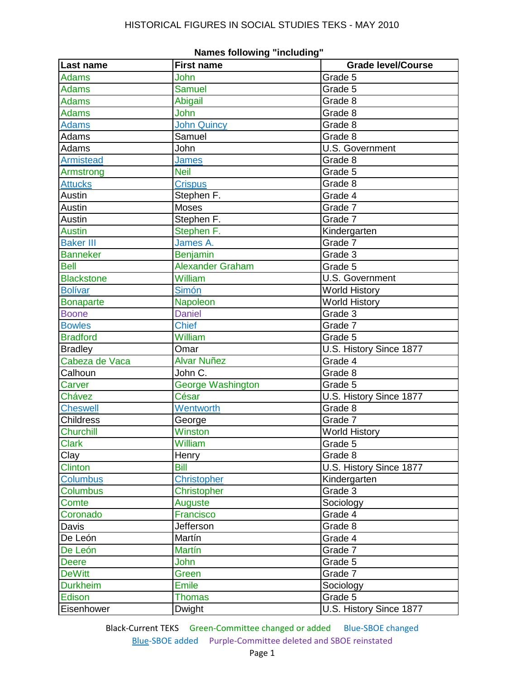| Last name         | <b>First name</b>       | <b>Grade level/Course</b> |
|-------------------|-------------------------|---------------------------|
| <b>Adams</b>      | John                    | Grade 5                   |
| <b>Adams</b>      | <b>Samuel</b>           | Grade 5                   |
| <b>Adams</b>      | Abigail                 | Grade 8                   |
| <b>Adams</b>      | John                    | Grade 8                   |
| <b>Adams</b>      | <b>John Quincy</b>      | Grade 8                   |
| Adams             | Samuel                  | Grade 8                   |
| Adams             | John                    | U.S. Government           |
| <b>Armistead</b>  | <b>James</b>            | Grade 8                   |
| Armstrong         | <b>Neil</b>             | Grade 5                   |
| <b>Attucks</b>    | <b>Crispus</b>          | Grade 8                   |
| Austin            | Stephen F.              | Grade 4                   |
| Austin            | <b>Moses</b>            | Grade 7                   |
| Austin            | Stephen F.              | Grade 7                   |
| <b>Austin</b>     | Stephen F.              | Kindergarten              |
| <b>Baker III</b>  | James A.                | Grade 7                   |
| <b>Banneker</b>   | <b>Benjamin</b>         | Grade 3                   |
| <b>Bell</b>       | <b>Alexander Graham</b> | Grade 5                   |
| <b>Blackstone</b> | William                 | U.S. Government           |
| <b>Bolívar</b>    | Simón                   | <b>World History</b>      |
| <b>Bonaparte</b>  | Napoleon                | <b>World History</b>      |
| <b>Boone</b>      | <b>Daniel</b>           | Grade 3                   |
| <b>Bowles</b>     | <b>Chief</b>            | Grade 7                   |
| <b>Bradford</b>   | William                 | Grade 5                   |
| <b>Bradley</b>    | Omar                    | U.S. History Since 1877   |
| Cabeza de Vaca    | <b>Alvar Nuñez</b>      | Grade 4                   |
| Calhoun           | John C.                 | Grade 8                   |
| Carver            | George Washington       | Grade 5                   |
| Chávez            | César                   | U.S. History Since 1877   |
| <b>Cheswell</b>   | Wentworth               | Grade 8                   |
| <b>Childress</b>  | George                  | Grade 7                   |
| <b>Churchill</b>  | Winston                 | <b>World History</b>      |
| <b>Clark</b>      | William                 | Grade 5                   |
| Clay              | Henry                   | Grade 8                   |
| <b>Clinton</b>    | <b>Bill</b>             | U.S. History Since 1877   |
| <b>Columbus</b>   | <b>Christopher</b>      | Kindergarten              |
| <b>Columbus</b>   | <b>Christopher</b>      | Grade 3                   |
| Comte             | Auguste                 | Sociology                 |
| Coronado          | Francisco               | Grade 4                   |
| Davis             | Jefferson               | Grade 8                   |
| De León           | Martín                  | Grade 4                   |
| De León           | <b>Martín</b>           | Grade 7                   |
| <b>Deere</b>      | <b>John</b>             | Grade 5                   |
| <b>DeWitt</b>     | Green                   | Grade 7                   |
| <b>Durkheim</b>   | <b>Emile</b>            | Sociology                 |
| Edison            | <b>Thomas</b>           | Grade 5                   |
| Eisenhower        | Dwight                  | U.S. History Since 1877   |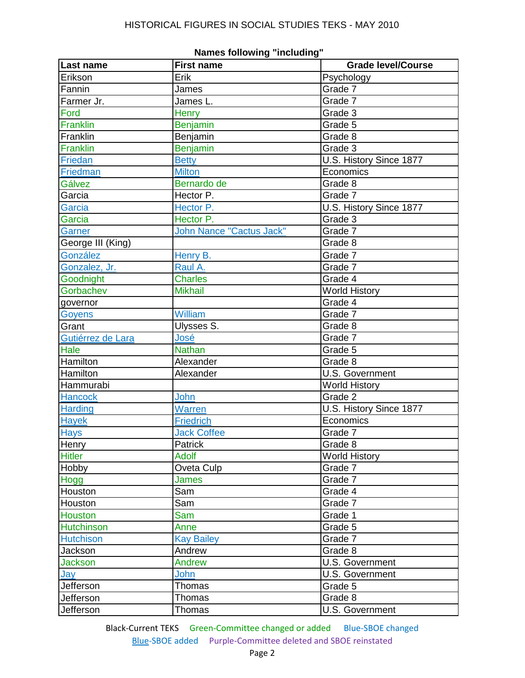| Last name         | <b>First name</b>        | <b>Grade level/Course</b> |
|-------------------|--------------------------|---------------------------|
| Erikson           | Erik                     | Psychology                |
| Fannin            | James                    | Grade 7                   |
| Farmer Jr.        | James L.                 | Grade 7                   |
| Ford              | <b>Henry</b>             | Grade 3                   |
| Franklin          | <b>Benjamin</b>          | Grade 5                   |
| Franklin          | Benjamin                 | Grade 8                   |
| Franklin          | <b>Benjamin</b>          | Grade 3                   |
| Friedan           | <b>Betty</b>             | U.S. History Since 1877   |
| Friedman          | <b>Milton</b>            | Economics                 |
| Gálvez            | Bernardo de              | Grade 8                   |
| Garcia            | Hector P.                | Grade 7                   |
| Garcia            | Hector P.                | U.S. History Since 1877   |
| Garcia            | Hector P.                | Grade 3                   |
| Garner            | John Nance "Cactus Jack" | Grade 7                   |
| George III (King) |                          | Grade 8                   |
| González          | Henry B.                 | Grade 7                   |
| Gonzalez, Jr.     | Raul A.                  | Grade 7                   |
| Goodnight         | Charles                  | Grade 4                   |
| Gorbachev         | <b>Mikhail</b>           | <b>World History</b>      |
| governor          |                          | Grade 4                   |
| Goyens            | William                  | Grade 7                   |
| Grant             | Ulysses S.               | Grade 8                   |
| Gutiérrez de Lara | José                     | Grade 7                   |
| Hale              | <b>Nathan</b>            | Grade 5                   |
| Hamilton          | Alexander                | Grade 8                   |
| Hamilton          | Alexander                | <b>U.S. Government</b>    |
| Hammurabi         |                          | <b>World History</b>      |
| <b>Hancock</b>    | John                     | Grade 2                   |
| <b>Harding</b>    | Warren                   | U.S. History Since 1877   |
| <b>Hayek</b>      | <b>Friedrich</b>         | Economics                 |
| <b>Hays</b>       | <b>Jack Coffee</b>       | Grade 7                   |
| Henry             | Patrick                  | Grade 8                   |
| <b>Hitler</b>     | <b>Adolf</b>             | <b>World History</b>      |
| Hobby             | Oveta Culp               | Grade 7                   |
| Hogg              | <b>James</b>             | Grade 7                   |
| Houston           | Sam                      | Grade 4                   |
| Houston           | Sam                      | Grade 7                   |
| <b>Houston</b>    | Sam                      | Grade 1                   |
| <b>Hutchinson</b> | Anne                     | Grade 5                   |
| <b>Hutchison</b>  | <b>Kay Bailey</b>        | Grade 7                   |
| Jackson           | Andrew                   | Grade 8                   |
| Jackson           | Andrew                   | U.S. Government           |
| <u>Jay</u>        | John                     | U.S. Government           |
| Jefferson         | Thomas                   | Grade 5                   |
| Jefferson         | Thomas                   | Grade 8                   |
| Jefferson         | Thomas                   | U.S. Government           |

**Names following "including"**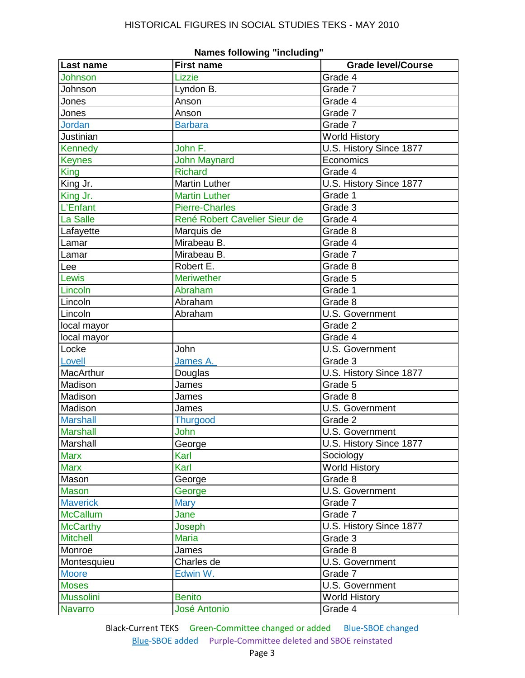| Last name        | עווויטעו טטווער<br><b>First name</b> | <b>Grade level/Course</b> |
|------------------|--------------------------------------|---------------------------|
| Johnson          | Lizzie                               | Grade 4                   |
| Johnson          | Lyndon B.                            | Grade 7                   |
| Jones            | Anson                                | Grade 4                   |
| Jones            | Anson                                | Grade 7                   |
| <b>Jordan</b>    | <b>Barbara</b>                       | Grade 7                   |
| Justinian        |                                      | <b>World History</b>      |
| <b>Kennedy</b>   | John F.                              | U.S. History Since 1877   |
| <b>Keynes</b>    | <b>John Maynard</b>                  | Economics                 |
| <b>King</b>      | <b>Richard</b>                       | Grade 4                   |
| King Jr.         | <b>Martin Luther</b>                 | U.S. History Since 1877   |
| King Jr.         | <b>Martin Luther</b>                 | Grade 1                   |
| L'Enfant         | <b>Pierre-Charles</b>                | Grade 3                   |
| <b>La Salle</b>  | René Robert Cavelier Sieur de        | Grade 4                   |
| Lafayette        | Marquis de                           | Grade 8                   |
| Lamar            | Mirabeau B.                          | Grade 4                   |
| Lamar            | Mirabeau B.                          | Grade 7                   |
| Lee              | Robert E.                            | Grade 8                   |
| Lewis            | <b>Meriwether</b>                    | Grade 5                   |
| Lincoln          | Abraham                              | Grade 1                   |
| Lincoln          | Abraham                              | Grade 8                   |
| Lincoln          | Abraham                              | <b>U.S. Government</b>    |
| local mayor      |                                      | Grade 2                   |
| local mayor      |                                      | Grade 4                   |
| Locke            | John                                 | U.S. Government           |
| Lovell           | James A.                             | Grade 3                   |
| MacArthur        | Douglas                              | U.S. History Since 1877   |
| Madison          | James                                | Grade 5                   |
| Madison          | James                                | Grade 8                   |
| Madison          | James                                | <b>U.S. Government</b>    |
| <b>Marshall</b>  | <b>Thurgood</b>                      | Grade 2                   |
| <b>Marshall</b>  | John                                 | <b>U.S. Government</b>    |
| Marshall         | George                               | U.S. History Since 1877   |
| <b>Marx</b>      | Karl                                 | Sociology                 |
| <b>Marx</b>      | Karl                                 | <b>World History</b>      |
| Mason            | George                               | Grade 8                   |
| <b>Mason</b>     | George                               | U.S. Government           |
| <b>Maverick</b>  | <b>Mary</b>                          | Grade 7                   |
| <b>McCallum</b>  | Jane                                 | Grade 7                   |
| <b>McCarthy</b>  | Joseph                               | U.S. History Since 1877   |
| <b>Mitchell</b>  | <b>Maria</b>                         | Grade 3                   |
| Monroe           | James                                | Grade 8                   |
| Montesquieu      | Charles de                           | <b>U.S. Government</b>    |
| <b>Moore</b>     | Edwin W.                             | Grade 7                   |
| <b>Moses</b>     |                                      | U.S. Government           |
| <b>Mussolini</b> | <b>Benito</b>                        | <b>World History</b>      |
| <b>Navarro</b>   | <b>José Antonio</b>                  | Grade 4                   |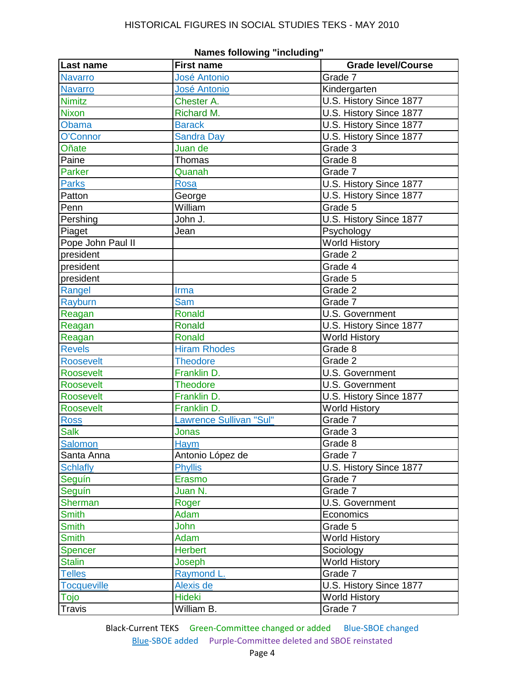| Last name          | <b>First name</b>       | <b>Grade level/Course</b> |
|--------------------|-------------------------|---------------------------|
| <b>Navarro</b>     | <b>José Antonio</b>     | Grade 7                   |
| <b>Navarro</b>     | <b>José Antonio</b>     | Kindergarten              |
| <b>Nimitz</b>      | Chester A.              | U.S. History Since 1877   |
| <b>Nixon</b>       | Richard M.              | U.S. History Since 1877   |
| Obama              | <b>Barack</b>           | U.S. History Since 1877   |
| O'Connor           | <b>Sandra Day</b>       | U.S. History Since 1877   |
| Oñate              | Juan de                 | Grade 3                   |
| Paine              | Thomas                  | Grade 8                   |
| <b>Parker</b>      | Quanah                  | Grade 7                   |
| <b>Parks</b>       | <b>Rosa</b>             | U.S. History Since 1877   |
| Patton             | George                  | U.S. History Since 1877   |
| Penn               | William                 | Grade 5                   |
| Pershing           | John J.                 | U.S. History Since 1877   |
| Piaget             | Jean                    | Psychology                |
| Pope John Paul II  |                         | <b>World History</b>      |
| president          |                         | Grade 2                   |
| president          |                         | Grade 4                   |
| president          |                         | Grade 5                   |
| Rangel             | Irma                    | Grade 2                   |
| Rayburn            | <b>Sam</b>              | Grade 7                   |
| Reagan             | <b>Ronald</b>           | U.S. Government           |
| Reagan             | Ronald                  | U.S. History Since 1877   |
| Reagan             | <b>Ronald</b>           | <b>World History</b>      |
| <b>Revels</b>      | <b>Hiram Rhodes</b>     | Grade 8                   |
| <b>Roosevelt</b>   | <b>Theodore</b>         | Grade 2                   |
| <b>Roosevelt</b>   | Franklin D.             | <b>U.S.</b> Government    |
| <b>Roosevelt</b>   | <b>Theodore</b>         | <b>U.S. Government</b>    |
| <b>Roosevelt</b>   | Franklin D.             | U.S. History Since 1877   |
| <b>Roosevelt</b>   | Franklin D.             | <b>World History</b>      |
| <b>Ross</b>        | Lawrence Sullivan "Sul" | Grade 7                   |
| <b>Salk</b>        | Jonas                   | Grade 3                   |
| Salomon            | Haym                    | Grade 8                   |
| Santa Anna         | Antonio López de        | Grade 7                   |
| <b>Schlafly</b>    | <b>Phyllis</b>          | U.S. History Since 1877   |
| Seguín             | Erasmo                  | Grade 7                   |
| Seguín             | Juan N.                 | Grade 7                   |
| Sherman            | Roger                   | U.S. Government           |
| <b>Smith</b>       | Adam                    | Economics                 |
| <b>Smith</b>       | John                    | Grade 5                   |
| <b>Smith</b>       | Adam                    | <b>World History</b>      |
| <b>Spencer</b>     | <b>Herbert</b>          | Sociology                 |
| <b>Stalin</b>      | Joseph                  | <b>World History</b>      |
| <b>Telles</b>      | Raymond L.              | Grade 7                   |
| <b>Tocqueville</b> | Alexis de               | U.S. History Since 1877   |
| Tojo               | <b>Hideki</b>           | <b>World History</b>      |
| <b>Travis</b>      | William B.              | Grade 7                   |